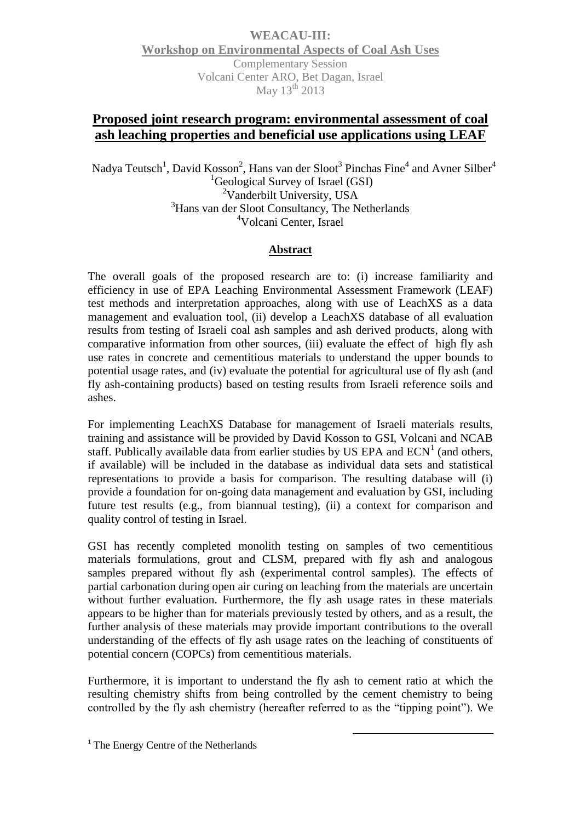**WEACAU-III: Workshop on Environmental Aspects of Coal Ash Uses** Complementary Session Volcani Center ARO, Bet Dagan, Israel May 13<sup>th</sup> 2013

## **Proposed joint research program: environmental assessment of coal ash leaching properties and beneficial use applications using LEAF**

Nadya Teutsch<sup>1</sup>, David Kosson<sup>2</sup>, Hans van der Sloot<sup>3</sup> Pinchas Fine<sup>4</sup> and Avner Silber<sup>4</sup> <sup>1</sup>Geological Survey of Israel (GSI) <sup>2</sup>Vanderbilt University, USA <sup>3</sup>Hans van der Sloot Consultancy, The Netherlands <sup>4</sup>Volcani Center, Israel

## **Abstract**

The overall goals of the proposed research are to: (i) increase familiarity and efficiency in use of EPA Leaching Environmental Assessment Framework (LEAF) test methods and interpretation approaches, along with use of LeachXS as a data management and evaluation tool, (ii) develop a LeachXS database of all evaluation results from testing of Israeli coal ash samples and ash derived products, along with comparative information from other sources, (iii) evaluate the effect of high fly ash use rates in concrete and cementitious materials to understand the upper bounds to potential usage rates, and (iv) evaluate the potential for agricultural use of fly ash (and fly ash-containing products) based on testing results from Israeli reference soils and ashes.

For implementing LeachXS Database for management of Israeli materials results, training and assistance will be provided by David Kosson to GSI, Volcani and NCAB staff. Publically available data from earlier studies by US EPA and  $ECN<sup>1</sup>$  (and others, if available) will be included in the database as individual data sets and statistical representations to provide a basis for comparison. The resulting database will (i) provide a foundation for on-going data management and evaluation by GSI, including future test results (e.g., from biannual testing), (ii) a context for comparison and quality control of testing in Israel.

GSI has recently completed monolith testing on samples of two cementitious materials formulations, grout and CLSM, prepared with fly ash and analogous samples prepared without fly ash (experimental control samples). The effects of partial carbonation during open air curing on leaching from the materials are uncertain without further evaluation. Furthermore, the fly ash usage rates in these materials appears to be higher than for materials previously tested by others, and as a result, the further analysis of these materials may provide important contributions to the overall understanding of the effects of fly ash usage rates on the leaching of constituents of potential concern (COPCs) from cementitious materials.

Furthermore, it is important to understand the fly ash to cement ratio at which the resulting chemistry shifts from being controlled by the cement chemistry to being controlled by the fly ash chemistry (hereafter referred to as the "tipping point"). We

1

<sup>&</sup>lt;sup>1</sup> The Energy Centre of the Netherlands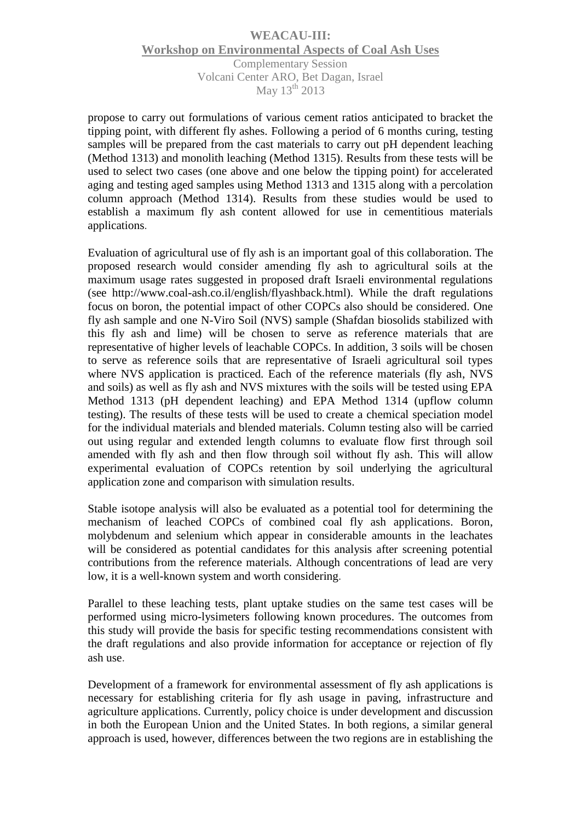## **WEACAU-III: Workshop on Environmental Aspects of Coal Ash Uses** Complementary Session Volcani Center ARO, Bet Dagan, Israel May  $13<sup>th</sup>$  2013

propose to carry out formulations of various cement ratios anticipated to bracket the tipping point, with different fly ashes. Following a period of 6 months curing, testing samples will be prepared from the cast materials to carry out pH dependent leaching (Method 1313) and monolith leaching (Method 1315). Results from these tests will be used to select two cases (one above and one below the tipping point) for accelerated aging and testing aged samples using Method 1313 and 1315 along with a percolation column approach (Method 1314). Results from these studies would be used to establish a maximum fly ash content allowed for use in cementitious materials applications.

Evaluation of agricultural use of fly ash is an important goal of this collaboration. The proposed research would consider amending fly ash to agricultural soils at the maximum usage rates suggested in proposed draft Israeli environmental regulations (see http://www.coal-ash.co.il/english/flyashback.html). While the draft regulations focus on boron, the potential impact of other COPCs also should be considered. One fly ash sample and one N-Viro Soil (NVS) sample (Shafdan biosolids stabilized with this fly ash and lime) will be chosen to serve as reference materials that are representative of higher levels of leachable COPCs. In addition, 3 soils will be chosen to serve as reference soils that are representative of Israeli agricultural soil types where NVS application is practiced. Each of the reference materials (fly ash, NVS and soils) as well as fly ash and NVS mixtures with the soils will be tested using EPA Method 1313 (pH dependent leaching) and EPA Method 1314 (upflow column testing). The results of these tests will be used to create a chemical speciation model for the individual materials and blended materials. Column testing also will be carried out using regular and extended length columns to evaluate flow first through soil amended with fly ash and then flow through soil without fly ash. This will allow experimental evaluation of COPCs retention by soil underlying the agricultural application zone and comparison with simulation results.

Stable isotope analysis will also be evaluated as a potential tool for determining the mechanism of leached COPCs of combined coal fly ash applications. Boron, molybdenum and selenium which appear in considerable amounts in the leachates will be considered as potential candidates for this analysis after screening potential contributions from the reference materials. Although concentrations of lead are very low, it is a well-known system and worth considering.

Parallel to these leaching tests, plant uptake studies on the same test cases will be performed using micro-lysimeters following known procedures. The outcomes from this study will provide the basis for specific testing recommendations consistent with the draft regulations and also provide information for acceptance or rejection of fly ash use.

Development of a framework for environmental assessment of fly ash applications is necessary for establishing criteria for fly ash usage in paving, infrastructure and agriculture applications. Currently, policy choice is under development and discussion in both the European Union and the United States. In both regions, a similar general approach is used, however, differences between the two regions are in establishing the